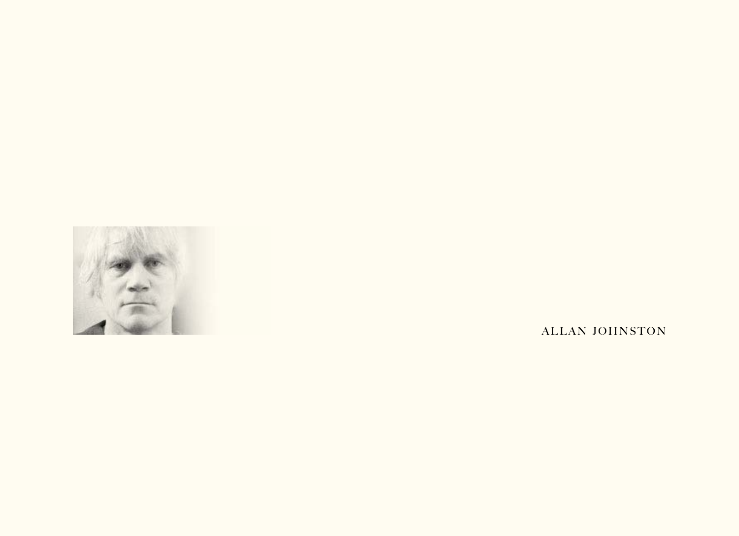

ALLAN JOHNSTON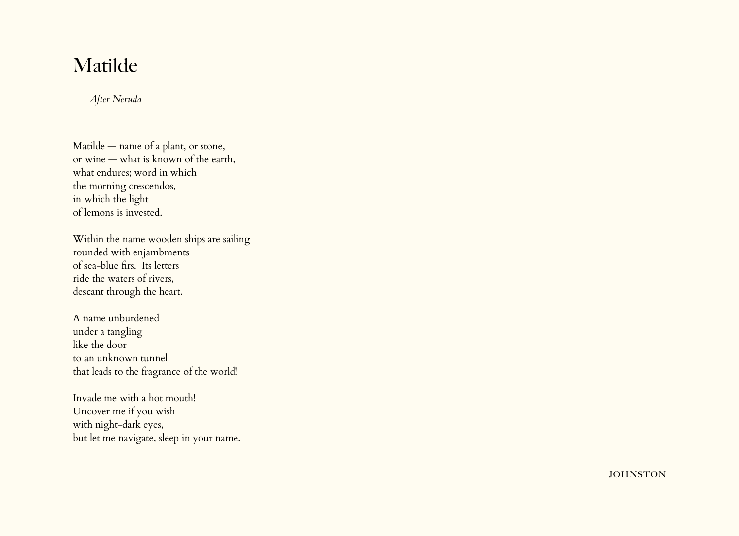## Matilde

*After Neruda*

Matilde — name of a plant, or stone, or wine — what is known of the earth, what endures; word in which the morning crescendos, in which the light of lemons is invested.

Within the name wooden ships are sailing rounded with enjambments of sea-blue firs. Its letters ride the waters of rivers, descant through the heart.

A name unburdened under a tangling like the door to an unknown tunnel that leads to the fragrance of the world!

Invade me with a hot mouth! Uncover me if you wish with night-dark eyes, but let me navigate, sleep in your name.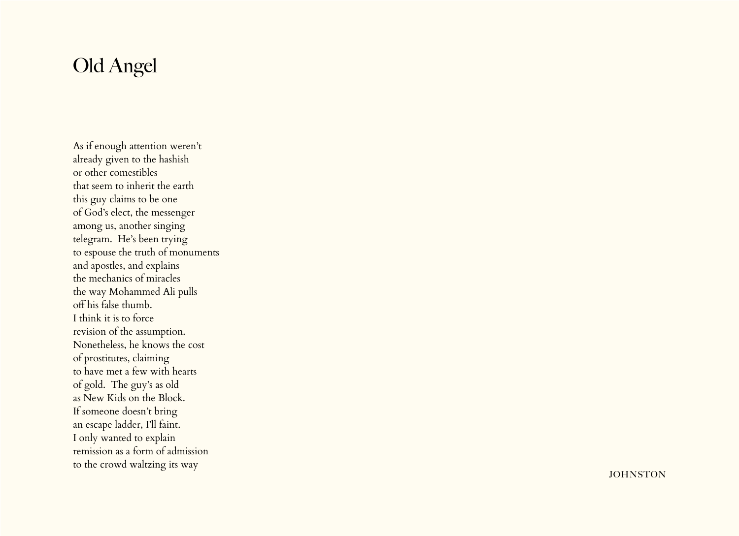# Old Angel

As if enough attention weren't already given to the hashish or other comestibles that seem to inherit the earth this guy claims to be one of God's elect, the messenger among us, another singing telegram. He's been trying to espouse the truth of monuments and apostles, and explains the mechanics of miracles the way Mohammed Ali pulls off his false thumb. I think it is to force revision of the assumption. Nonetheless, he knows the cost of prostitutes, claiming to have met a few with hearts of gold. The guy's as old as New Kids on the Block. If someone doesn't bring an escape ladder, I'll faint. I only wanted to explain remission as a form of admission to the crowd waltzing its way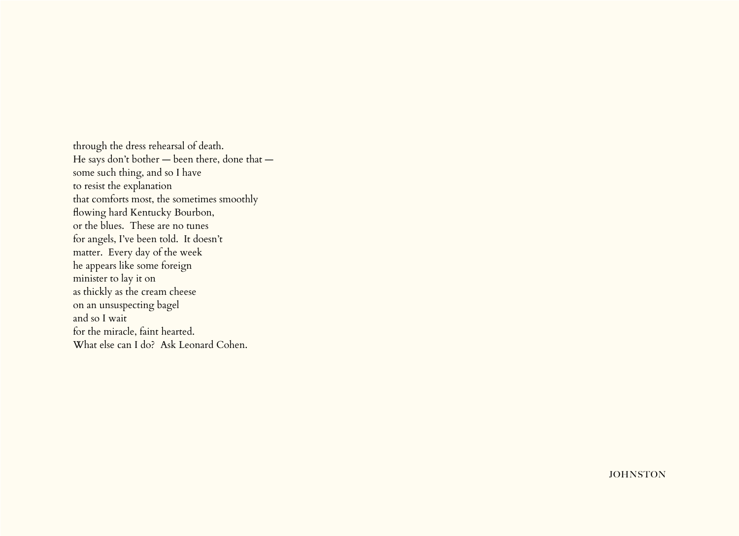through the dress rehearsal of death. He says don't bother — been there, done that some such thing, and so I have to resist the explanation that comforts most, the sometimes smoothly flowing hard Kentucky Bourbon, or the blues. These are no tunes for angels, I've been told. It doesn't matter. Every day of the week he appears like some foreign minister to lay it on as thickly as the cream cheese on an unsuspecting bagel and so I wait for the miracle, faint hearted. What else can I do? Ask Leonard Cohen.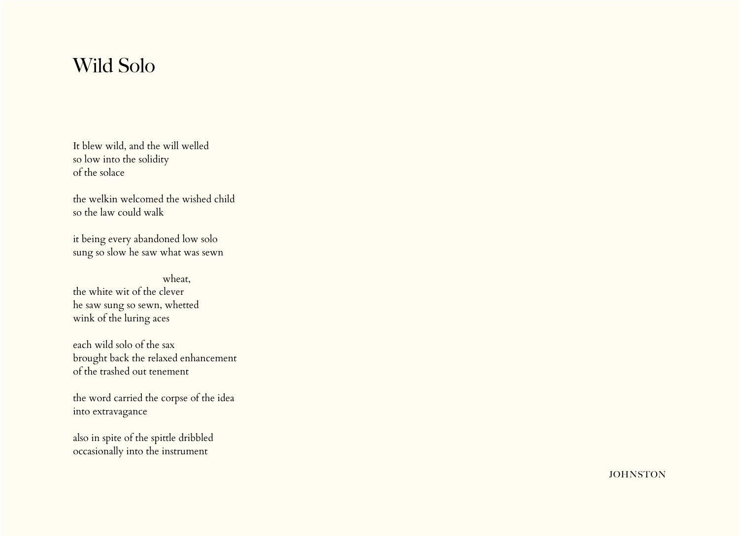#### Wild Solo

It blew wild, and the will welled so low into the solidity of the solace

the welkin welcomed the wished child so the law could walk

it being every abandoned low solo sung so slow he saw what was sewn

 wheat, the white wit of the clever he saw sung so sewn, whetted wink of the luring aces

each wild solo of the sax brought back the relaxed enhancement of the trashed out tenement

the word carried the corpse of the idea into extravagance

also in spite of the spittle dribbled occasionally into the instrument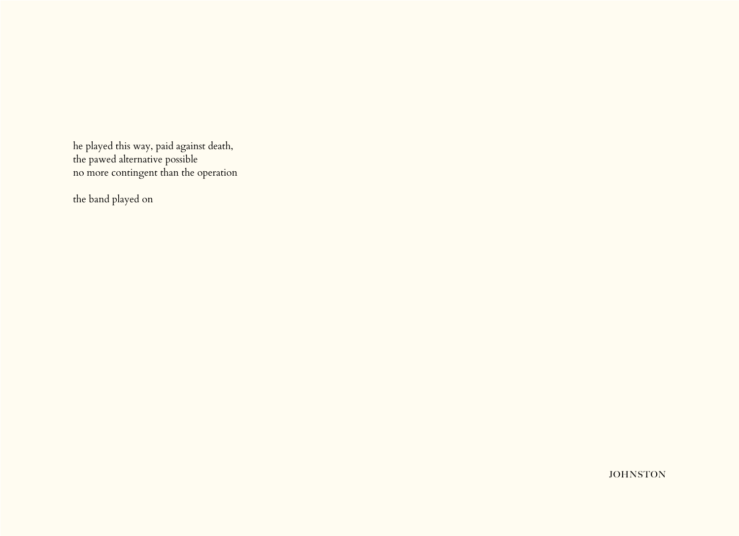he played this way, paid against death, the pawed alternative possible no more contingent than the operation

the band played on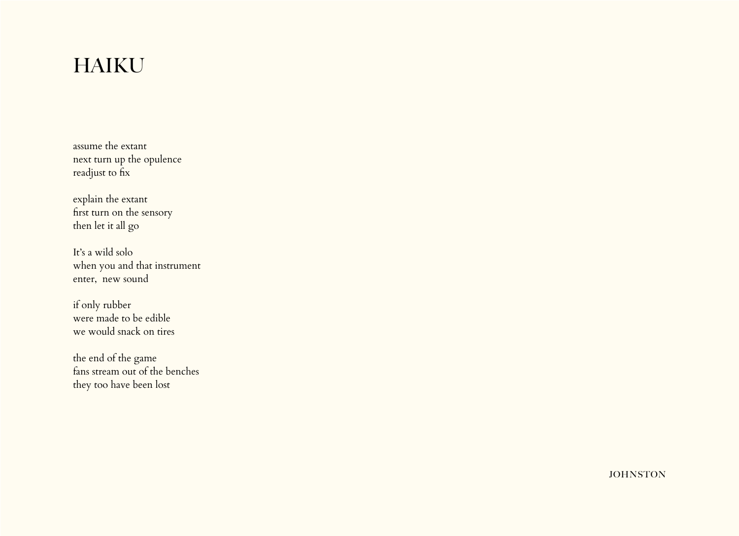# HAIKU

assume the extant next turn up the opulence readjust to fix

explain the extant first turn on the sensory then let it all go

It's a wild solo when you and that instrument enter, new sound

if only rubber were made to be edible we would snack on tires

the end of the game fans stream out of the benches they too have been lost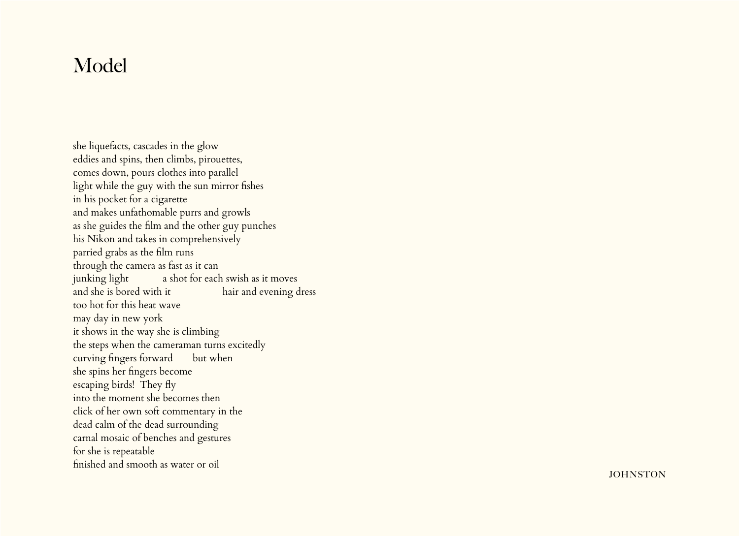## Model

she liquefacts, cascades in the glow eddies and spins, then climbs, pirouettes, comes down, pours clothes into parallel light while the guy with the sun mirror fishes in his pocket for a cigarette and makes unfathomable purrs and growls as she guides the film and the other guy punches his Nikon and takes in comprehensively parried grabs as the film runs through the camera as fast as it can junking light a shot for each swish as it moves and she is bored with it hair and evening dress too hot for this heat wave may day in new york it shows in the way she is climbing the steps when the cameraman turns excitedly curving fingers forward but when she spins her fingers become escaping birds! They fly into the moment she becomes then click of her own soft commentary in the dead calm of the dead surrounding carnal mosaic of benches and gestures for she is repeatable finished and smooth as water or oil